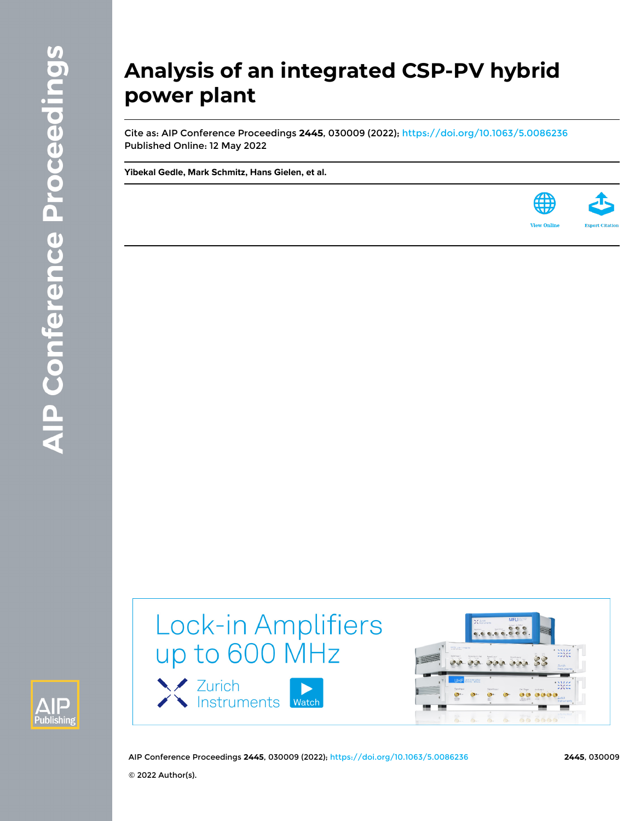# **Analysis of an integrated CSP-PV hybrid power plant**

Cite as: AIP Conference Proceedings **2445**, 030009 (2022); <https://doi.org/10.1063/5.0086236> Published Online: 12 May 2022

**[Yibekal Gedle,](https://aip.scitation.org/author/Gedle%2C+Yibekal) [Mark Schmitz,](https://aip.scitation.org/author/Schmitz%2C+Mark) [Hans Gielen,](https://aip.scitation.org/author/Gielen%2C+Hans) et al.**





Lock-in Amplifiers up to 600 MHz





AIP Conference Proceedings **2445**, 030009 (2022);<https://doi.org/10.1063/5.0086236> **2445**, 030009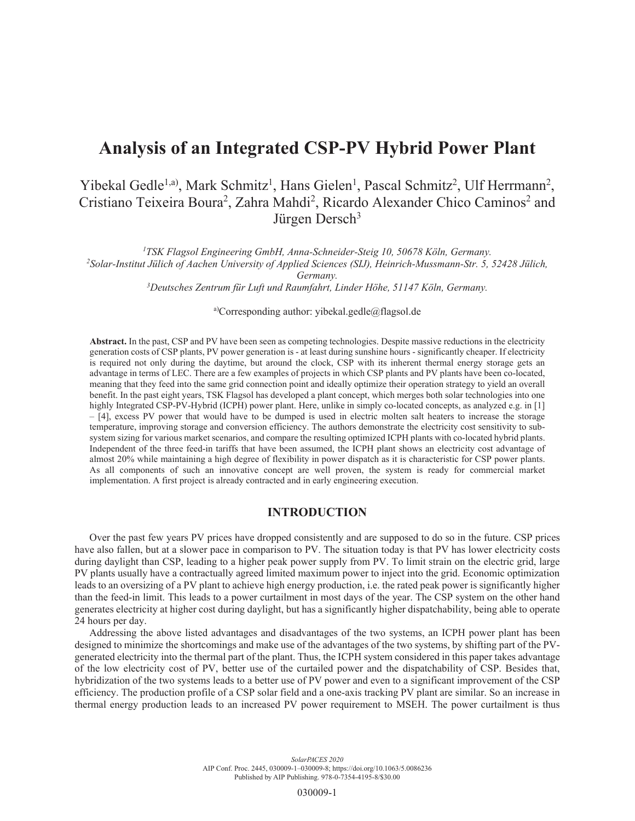# **Analysis of an Integrated CSP-PV Hybrid Power Plant**

# Yibekal Gedle<sup>1,a)</sup>, Mark Schmitz<sup>1</sup>, Hans Gielen<sup>1</sup>, Pascal Schmitz<sup>2</sup>, Ulf Herrmann<sup>2</sup>, Cristiano Teixeira Boura<sup>2</sup>, Zahra Mahdi<sup>2</sup>, Ricardo Alexander Chico Caminos<sup>2</sup> and Jürgen Dersch<sup>3</sup>

<sup>1</sup> *TSK Flagsol Engineering GmbH, Anna-Schneider-Steig 10, 50678 Köln, Germany.*<br><sup>2</sup> Solar-Institut Filich of Aachen University of Applied Sciences (SU). Heinrich-Mussmann-Str. 5

*Solar-Institut Jülich of Aachen University of Applied Sciences (SIJ), Heinrich-Mussmann-Str. 5, 52428 Jülich, Germany.*<br><sup>3</sup> Deutsches Zentrum für Luft und Raumfahrt, Linder Höhe, 51147 Köln, Germany.

a)Corresponding author: yibekal.gedle@flagsol.de

**Abstract.** In the past, CSP and PV have been seen as competing technologies. Despite massive reductions in the electricity generation costs of CSP plants, PV power generation is - at least during sunshine hours - significantly cheaper. If electricity is required not only during the daytime, but around the clock, CSP with its inherent thermal energy storage gets an advantage in terms of LEC. There are a few examples of projects in which CSP plants and PV plants have been co-located, meaning that they feed into the same grid connection point and ideally optimize their operation strategy to yield an overall benefit. In the past eight years, TSK Flagsol has developed a plant concept, which merges both solar technologies into one highly Integrated CSP-PV-Hybrid (ICPH) power plant. Here, unlike in simply co-located concepts, as analyzed e.g. in [1] – [4], excess PV power that would have to be dumped is used in electric molten salt heaters to increase the storage temperature, improving storage and conversion efficiency. The authors demonstrate the electricity cost sensitivity to subsystem sizing for various market scenarios, and compare the resulting optimized ICPH plants with co-located hybrid plants. Independent of the three feed-in tariffs that have been assumed, the ICPH plant shows an electricity cost advantage of almost 20% while maintaining a high degree of flexibility in power dispatch as it is characteristic for CSP power plants. As all components of such an innovative concept are well proven, the system is ready for commercial market implementation. A first project is already contracted and in early engineering execution.

#### **INTRODUCTION**

Over the past few years PV prices have dropped consistently and are supposed to do so in the future. CSP prices have also fallen, but at a slower pace in comparison to PV. The situation today is that PV has lower electricity costs during daylight than CSP, leading to a higher peak power supply from PV. To limit strain on the electric grid, large PV plants usually have a contractually agreed limited maximum power to inject into the grid. Economic optimization leads to an oversizing of a PV plant to achieve high energy production, i.e. the rated peak power is significantly higher than the feed-in limit. This leads to a power curtailment in most days of the year. The CSP system on the other hand generates electricity at higher cost during daylight, but has a significantly higher dispatchability, being able to operate 24 hours per day.

Addressing the above listed advantages and disadvantages of the two systems, an ICPH power plant has been designed to minimize the shortcomings and make use of the advantages of the two systems, by shifting part of the PVgenerated electricity into the thermal part of the plant. Thus, the ICPH system considered in this paper takes advantage of the low electricity cost of PV, better use of the curtailed power and the dispatchability of CSP. Besides that, hybridization of the two systems leads to a better use of PV power and even to a significant improvement of the CSP efficiency. The production profile of a CSP solar field and a one-axis tracking PV plant are similar. So an increase in thermal energy production leads to an increased PV power requirement to MSEH. The power curtailment is thus

> *SolarPACES 2020* AIP Conf. Proc. 2445, 030009-1–030009-8; https://doi.org/10.1063/5.0086236 Published by AIP Publishing. 978-0-7354-4195-8/\$30.00

> > 030009-1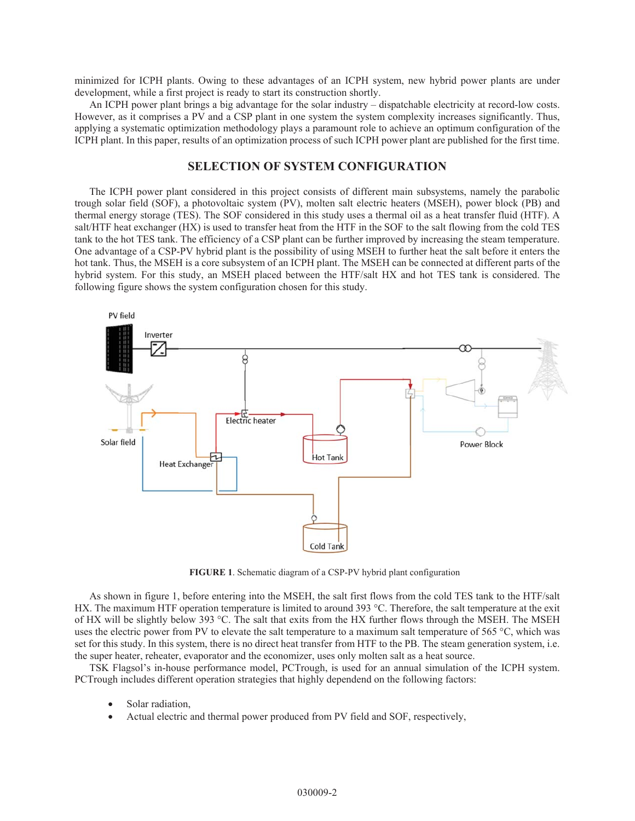minimized for ICPH plants. Owing to these advantages of an ICPH system, new hybrid power plants are under development, while a first project is ready to start its construction shortly.

An ICPH power plant brings a big advantage for the solar industry – dispatchable electricity at record-low costs. However, as it comprises a PV and a CSP plant in one system the system complexity increases significantly. Thus, applying a systematic optimization methodology plays a paramount role to achieve an optimum configuration of the ICPH plant. In this paper, results of an optimization process of such ICPH power plant are published for the first time.

### **SELECTION OF SYSTEM CONFIGURATION**

The ICPH power plant considered in this project consists of different main subsystems, namely the parabolic trough solar field (SOF), a photovoltaic system (PV), molten salt electric heaters (MSEH), power block (PB) and thermal energy storage (TES). The SOF considered in this study uses a thermal oil as a heat transfer fluid (HTF). A salt/HTF heat exchanger (HX) is used to transfer heat from the HTF in the SOF to the salt flowing from the cold TES tank to the hot TES tank. The efficiency of a CSP plant can be further improved by increasing the steam temperature. One advantage of a CSP-PV hybrid plant is the possibility of using MSEH to further heat the salt before it enters the hot tank. Thus, the MSEH is a core subsystem of an ICPH plant. The MSEH can be connected at different parts of the hybrid system. For this study, an MSEH placed between the HTF/salt HX and hot TES tank is considered. The following figure shows the system configuration chosen for this study.



**FIGURE 1**. Schematic diagram of a CSP-PV hybrid plant configuration

As shown in figure 1, before entering into the MSEH, the salt first flows from the cold TES tank to the HTF/salt HX. The maximum HTF operation temperature is limited to around 393 °C. Therefore, the salt temperature at the exit of HX will be slightly below 393 °C. The salt that exits from the HX further flows through the MSEH. The MSEH uses the electric power from PV to elevate the salt temperature to a maximum salt temperature of 565 °C, which was set for this study. In this system, there is no direct heat transfer from HTF to the PB. The steam generation system, i.e. the super heater, reheater, evaporator and the economizer, uses only molten salt as a heat source.

TSK Flagsol's in-house performance model, PCTrough, is used for an annual simulation of the ICPH system. PCTrough includes different operation strategies that highly dependend on the following factors:

- Solar radiation.
- Actual electric and thermal power produced from PV field and SOF, respectively,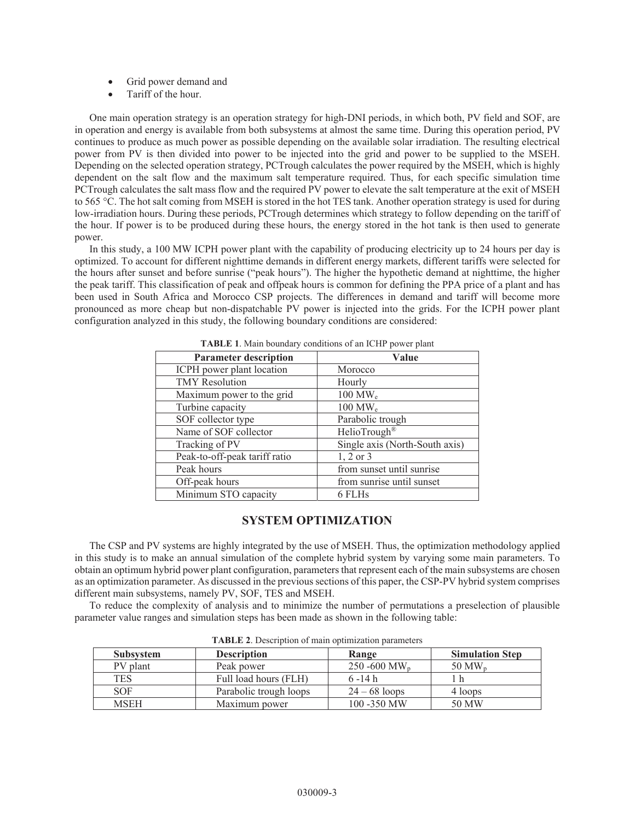- Grid power demand and
- Tariff of the hour.

One main operation strategy is an operation strategy for high-DNI periods, in which both, PV field and SOF, are in operation and energy is available from both subsystems at almost the same time. During this operation period, PV continues to produce as much power as possible depending on the available solar irradiation. The resulting electrical power from PV is then divided into power to be injected into the grid and power to be supplied to the MSEH. Depending on the selected operation strategy, PCTrough calculates the power required by the MSEH, which is highly dependent on the salt flow and the maximum salt temperature required. Thus, for each specific simulation time PCTrough calculates the salt mass flow and the required PV power to elevate the salt temperature at the exit of MSEH to 565 °C. The hot salt coming from MSEH is stored in the hot TES tank. Another operation strategy is used for during low-irradiation hours. During these periods, PCTrough determines which strategy to follow depending on the tariff of the hour. If power is to be produced during these hours, the energy stored in the hot tank is then used to generate power.

In this study, a 100 MW ICPH power plant with the capability of producing electricity up to 24 hours per day is optimized. To account for different nighttime demands in different energy markets, different tariffs were selected for the hours after sunset and before sunrise ("peak hours"). The higher the hypothetic demand at nighttime, the higher the peak tariff. This classification of peak and offpeak hours is common for defining the PPA price of a plant and has been used in South Africa and Morocco CSP projects. The differences in demand and tariff will become more pronounced as more cheap but non-dispatchable PV power is injected into the grids. For the ICPH power plant configuration analyzed in this study, the following boundary conditions are considered:

| <b>Parameter description</b>  | Value                          |  |
|-------------------------------|--------------------------------|--|
| ICPH power plant location     | Morocco                        |  |
| <b>TMY</b> Resolution         | Hourly                         |  |
| Maximum power to the grid     | $100 \text{ MW}_e$             |  |
| Turbine capacity              | $100 \text{ MW}_e$             |  |
| SOF collector type            | Parabolic trough               |  |
| Name of SOF collector         | HelioTrough <sup>®</sup>       |  |
| Tracking of PV                | Single axis (North-South axis) |  |
| Peak-to-off-peak tariff ratio | 1, 2 or 3                      |  |
| Peak hours                    | from sunset until sunrise      |  |
| Off-peak hours                | from sunrise until sunset      |  |
| Minimum STO capacity          | 6 FLHs                         |  |

**TABLE 1**. Main boundary conditions of an ICHP power plant

## **SYSTEM OPTIMIZATION**

The CSP and PV systems are highly integrated by the use of MSEH. Thus, the optimization methodology applied in this study is to make an annual simulation of the complete hybrid system by varying some main parameters. To obtain an optimum hybrid power plant configuration, parameters that represent each of the main subsystems are chosen as an optimization parameter. As discussed in the previous sections of this paper, the CSP-PV hybrid system comprises different main subsystems, namely PV, SOF, TES and MSEH.

To reduce the complexity of analysis and to minimize the number of permutations a preselection of plausible parameter value ranges and simulation steps has been made as shown in the following table:

| <b>Subsystem</b> | <b>Description</b>     | Range             | <b>Simulation Step</b> |
|------------------|------------------------|-------------------|------------------------|
| PV plant         | Peak power             | 250 -600 $MW_{n}$ | $50 \,\mathrm{MW}_n$   |
| <b>TES</b>       | Full load hours (FLH)  | $6 - 14 h$        |                        |
| <b>SOF</b>       | Parabolic trough loops | $24 - 68$ loops   | 4 loops                |
| <b>MSEH</b>      | Maximum power          | 100 - 350 MW      | 50 MW                  |

**TABLE 2**. Description of main optimization parameters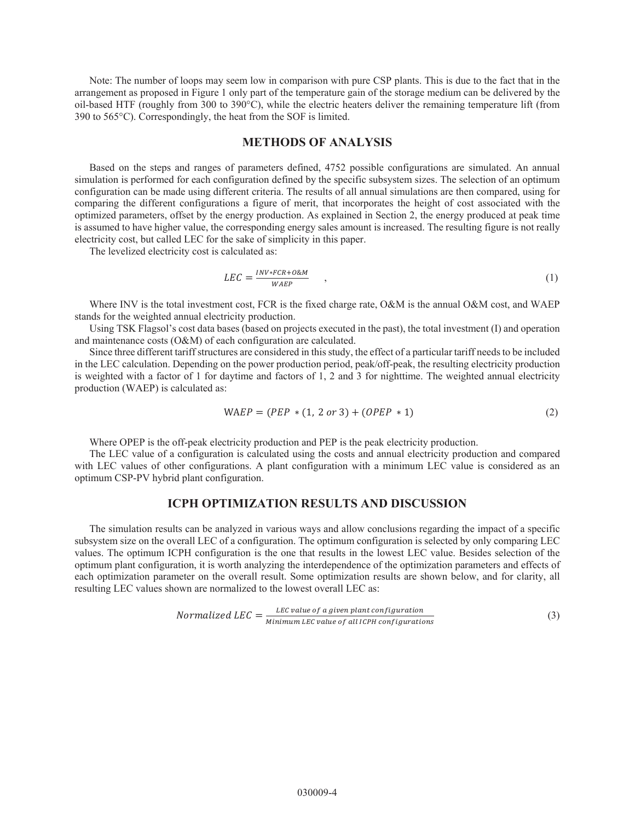Note: The number of loops may seem low in comparison with pure CSP plants. This is due to the fact that in the arrangement as proposed in Figure 1 only part of the temperature gain of the storage medium can be delivered by the oil-based HTF (roughly from 300 to 390°C), while the electric heaters deliver the remaining temperature lift (from 390 to 565°C). Correspondingly, the heat from the SOF is limited.

#### **METHODS OF ANALYSIS**

Based on the steps and ranges of parameters defined, 4752 possible configurations are simulated. An annual simulation is performed for each configuration defined by the specific subsystem sizes. The selection of an optimum configuration can be made using different criteria. The results of all annual simulations are then compared, using for comparing the different configurations a figure of merit, that incorporates the height of cost associated with the optimized parameters, offset by the energy production. As explained in Section 2, the energy produced at peak time is assumed to have higher value, the corresponding energy sales amount is increased. The resulting figure is not really electricity cost, but called LEC for the sake of simplicity in this paper.

The levelized electricity cost is calculated as:

$$
LEC = \frac{INV*FCR + O\&M}{WAEP} \tag{1}
$$

Where INV is the total investment cost, FCR is the fixed charge rate, O&M is the annual O&M cost, and WAEP stands for the weighted annual electricity production.

Using TSK Flagsol's cost data bases (based on projects executed in the past), the total investment (I) and operation and maintenance costs (O&M) of each configuration are calculated.

Since three different tariff structures are considered in this study, the effect of a particular tariff needs to be included in the LEC calculation. Depending on the power production period, peak/off-peak, the resulting electricity production is weighted with a factor of 1 for daytime and factors of 1, 2 and 3 for nighttime. The weighted annual electricity production (WAEP) is calculated as:

$$
WAEP = (PEP * (1, 2 or 3) + (OPEP * 1)
$$
 (2)

Where OPEP is the off-peak electricity production and PEP is the peak electricity production.

The LEC value of a configuration is calculated using the costs and annual electricity production and compared with LEC values of other configurations. A plant configuration with a minimum LEC value is considered as an optimum CSP-PV hybrid plant configuration.

## **ICPH OPTIMIZATION RESULTS AND DISCUSSION**

The simulation results can be analyzed in various ways and allow conclusions regarding the impact of a specific subsystem size on the overall LEC of a configuration. The optimum configuration is selected by only comparing LEC values. The optimum ICPH configuration is the one that results in the lowest LEC value. Besides selection of the optimum plant configuration, it is worth analyzing the interdependence of the optimization parameters and effects of each optimization parameter on the overall result. Some optimization results are shown below, and for clarity, all resulting LEC values shown are normalized to the lowest overall LEC as:

$$
Normalized LEC = \frac{LEC value of a given plant configuration}{Minimum LEC value of all ICPH configurations}
$$
\n(3)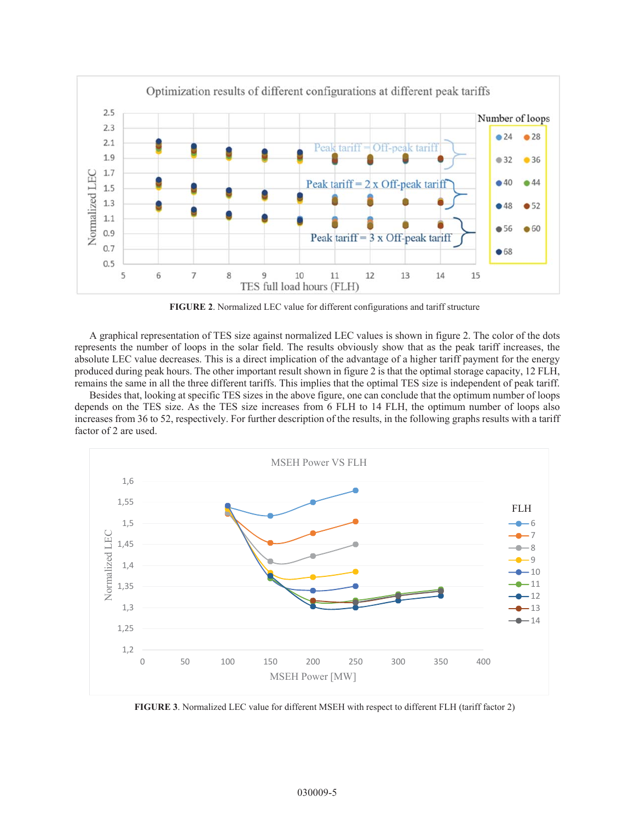

**FIGURE 2**. Normalized LEC value for different configurations and tariff structure

A graphical representation of TES size against normalized LEC values is shown in figure 2. The color of the dots represents the number of loops in the solar field. The results obviously show that as the peak tariff increases, the absolute LEC value decreases. This is a direct implication of the advantage of a higher tariff payment for the energy produced during peak hours. The other important result shown in figure 2 is that the optimal storage capacity, 12 FLH, remains the same in all the three different tariffs. This implies that the optimal TES size is independent of peak tariff.

Besides that, looking at specific TES sizes in the above figure, one can conclude that the optimum number of loops depends on the TES size. As the TES size increases from 6 FLH to 14 FLH, the optimum number of loops also increases from 36 to 52, respectively. For further description of the results, in the following graphs results with a tariff factor of 2 are used.



**FIGURE 3**. Normalized LEC value for different MSEH with respect to different FLH (tariff factor 2)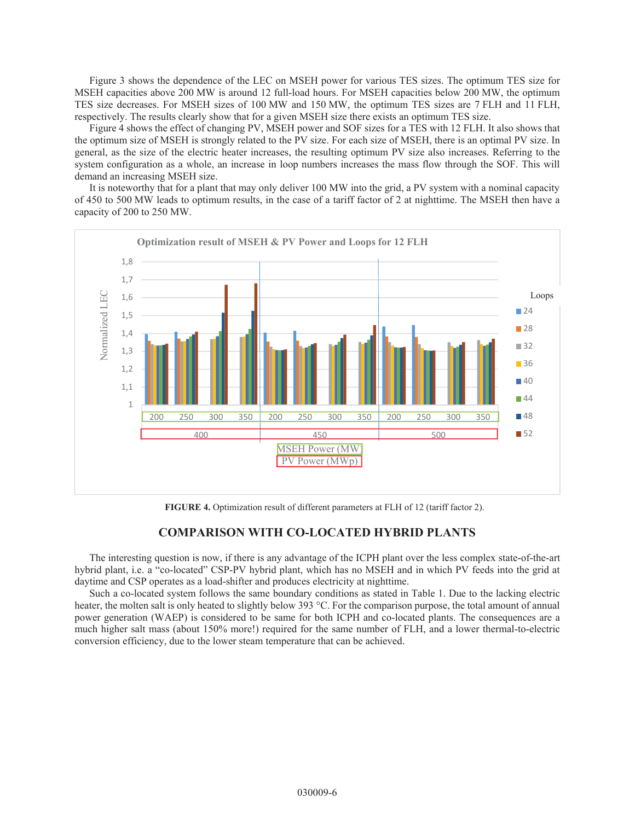Figure 3 shows the dependence of the LEC on MSEH power for various TES sizes. The optimum TES size for MSEH capacities above 200 MW is around 12 full-load hours. For MSEH capacities below 200 MW, the optimum TES size decreases. For MSEH sizes of 100 MW and 150 MW, the optimum TES sizes are 7 FLH and 11 FLH, respectively. The results clearly show that for a given MSEH size there exists an optimum TES size.

Figure 4 shows the effect of changing PV, MSEH power and SOF sizes for a TES with 12 FLH. It also shows that the optimum size of MSEH is strongly related to the PV size. For each size of MSEH, there is an optimal PV size. In general, as the size of the electric heater increases, the resulting optimum PV size also increases. Referring to the system configuration as a whole, an increase in loop numbers increases the mass flow through the SOF. This will demand an increasing MSEH size.

It is noteworthy that for a plant that may only deliver 100 MW into the grid, a PV system with a nominal capacity of 450 to 500 MW leads to optimum results, in the case of a tariff factor of 2 at nighttime. The MSEH then have a capacity of 200 to 250 MW.



**FIGURE 4.** Optimization result of different parameters at FLH of 12 (tariff factor 2).

## **COMPARISON WITH CO-LOCATED HYBRID PLANTS**

The interesting question is now, if there is any advantage of the ICPH plant over the less complex state-of-the-art hybrid plant, i.e. a "co-located" CSP-PV hybrid plant, which has no MSEH and in which PV feeds into the grid at daytime and CSP operates as a load-shifter and produces electricity at nighttime.

Such a co-located system follows the same boundary conditions as stated in Table 1. Due to the lacking electric heater, the molten salt is only heated to slightly below 393 °C. For the comparison purpose, the total amount of annual power generation (WAEP) is considered to be same for both ICPH and co-located plants. The consequences are a much higher salt mass (about 150% more!) required for the same number of FLH, and a lower thermal-to-electric conversion efficiency, due to the lower steam temperature that can be achieved.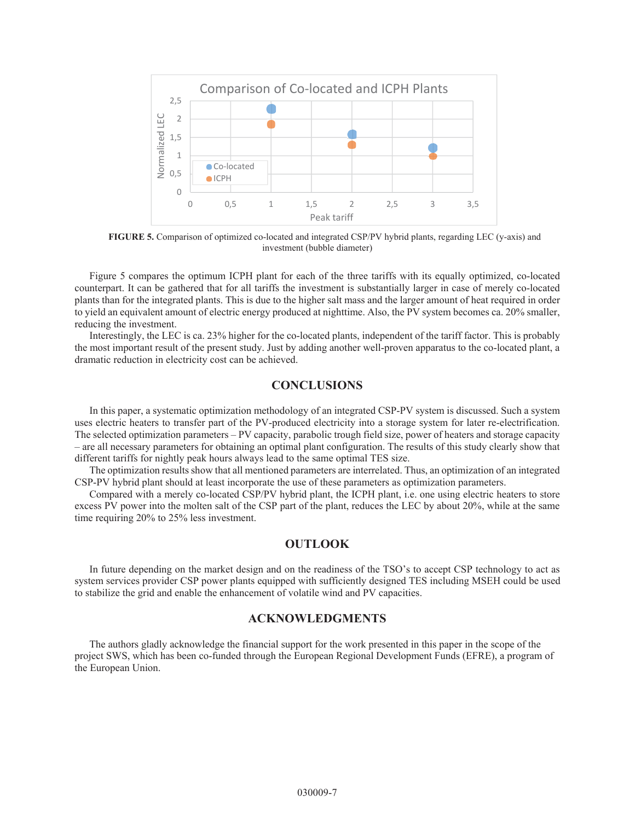

**FIGURE 5.** Comparison of optimized co-located and integrated CSP/PV hybrid plants, regarding LEC (y-axis) and investment (bubble diameter)

Figure 5 compares the optimum ICPH plant for each of the three tariffs with its equally optimized, co-located counterpart. It can be gathered that for all tariffs the investment is substantially larger in case of merely co-located plants than for the integrated plants. This is due to the higher salt mass and the larger amount of heat required in order to yield an equivalent amount of electric energy produced at nighttime. Also, the PV system becomes ca. 20% smaller, reducing the investment.

Interestingly, the LEC is ca. 23% higher for the co-located plants, independent of the tariff factor. This is probably the most important result of the present study. Just by adding another well-proven apparatus to the co-located plant, a dramatic reduction in electricity cost can be achieved.

### **CONCLUSIONS**

In this paper, a systematic optimization methodology of an integrated CSP-PV system is discussed. Such a system uses electric heaters to transfer part of the PV-produced electricity into a storage system for later re-electrification. The selected optimization parameters – PV capacity, parabolic trough field size, power of heaters and storage capacity – are all necessary parameters for obtaining an optimal plant configuration. The results of this study clearly show that different tariffs for nightly peak hours always lead to the same optimal TES size.

The optimization results show that all mentioned parameters are interrelated. Thus, an optimization of an integrated CSP-PV hybrid plant should at least incorporate the use of these parameters as optimization parameters.

Compared with a merely co-located CSP/PV hybrid plant, the ICPH plant, i.e. one using electric heaters to store excess PV power into the molten salt of the CSP part of the plant, reduces the LEC by about 20%, while at the same time requiring 20% to 25% less investment.

#### **OUTLOOK**

In future depending on the market design and on the readiness of the TSO's to accept CSP technology to act as system services provider CSP power plants equipped with sufficiently designed TES including MSEH could be used to stabilize the grid and enable the enhancement of volatile wind and PV capacities.

#### **ACKNOWLEDGMENTS**

The authors gladly acknowledge the financial support for the work presented in this paper in the scope of the project SWS, which has been co-funded through the European Regional Development Funds (EFRE), a program of the European Union.